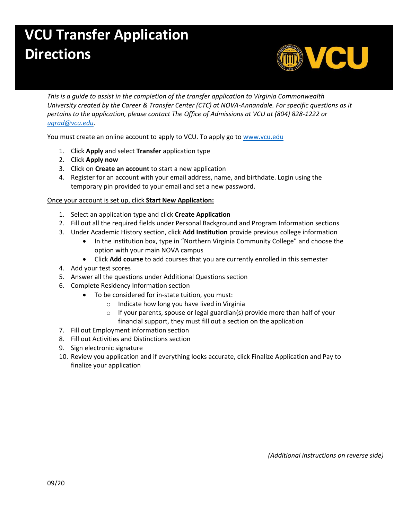## **VCU Transfer Application Directions**



*This is a guide to assist in the completion of the transfer application to Virginia Commonwealth University created by the Career & Transfer Center (CTC) at NOVA-Annandale. For specific questions as it pertains to the application, please contact The Office of Admissions at VCU at (804) 828-1222 or [ugrad@vcu.edu.](mailto:ugrad@vcu.edu)*

You must create an online account to apply to VCU. To apply go to [www.vcu.edu](http://www.vcu.edu/)

- 1. Click **Apply** and select **Transfer** application type
- 2. Click **Apply now**
- 3. Click on **Create an account** to start a new application
- 4. Register for an account with your email address, name, and birthdate. Login using the temporary pin provided to your email and set a new password.

## Once your account is set up, click **Start New Application:**

- 1. Select an application type and click **Create Application**
- 2. Fill out all the required fields under Personal Background and Program Information sections
- 3. Under Academic History section, click **Add Institution** provide previous college information
	- In the institution box, type in "Northern Virginia Community College" and choose the option with your main NOVA campus
	- Click **Add course** to add courses that you are currently enrolled in this semester
- 4. Add your test scores
- 5. Answer all the questions under Additional Questions section
- 6. Complete Residency Information section
	- To be considered for in-state tuition, you must:
		- o Indicate how long you have lived in Virginia
		- $\circ$  If your parents, spouse or legal guardian(s) provide more than half of your financial support, they must fill out a section on the application
- 7. Fill out Employment information section
- 8. Fill out Activities and Distinctions section
- 9. Sign electronic signature
- 10. Review you application and if everything looks accurate, click Finalize Application and Pay to finalize your application